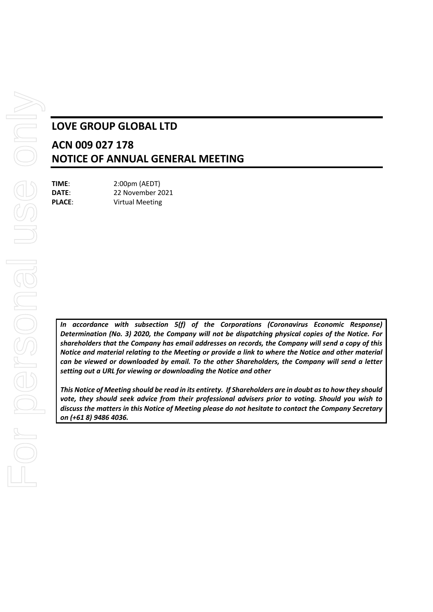# **LOVE GROUP GLOBAL LTD**

# **ACN 009 027 178 NOTICE OF ANNUAL GENERAL MEETING**

**TIME**: 2:00pm (AEDT) **DATE**: 22 November 2021 **PLACE**: Virtual Meeting

*In accordance with subsection 5(f) of the Corporations (Coronavirus Economic Response) Determination (No. 3) 2020, the Company will not be dispatching physical copies of the Notice. For shareholders that the Company has email addresses on records, the Company will send a copy of this Notice and material relating to the Meeting or provide a link to where the Notice and other material can be viewed or downloaded by email. To the other Shareholders, the Company will send a letter setting out a URL for viewing or downloading the Notice and other*

*This Notice of Meeting should be read in its entirety. If Shareholders are in doubt as to how they should vote, they should seek advice from their professional advisers prior to voting. Should you wish to discuss the matters in this Notice of Meeting please do not hesitate to contact the Company Secretary on (+61 8) 9486 4036.*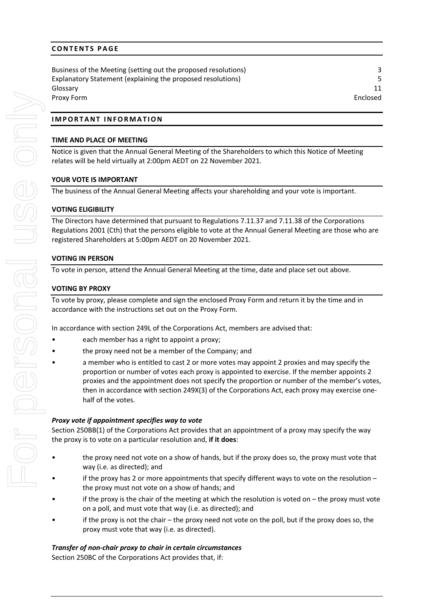# **CONTENTS PAGE**

Business of the Meeting (setting out the proposed resolutions) 3 Explanatory Statement (explaining the proposed resolutions) 5 Glossary 11 Proxy Form Enclosed

# **IMPORTANT INFORMATION**

# **TIME AND PLACE OF MEETING**

Notice is given that the Annual General Meeting of the Shareholders to which this Notice of Meeting relates will be held virtually at 2:00pm AEDT on 22 November 2021.

# **YOUR VOTE IS IMPORTANT**

The business of the Annual General Meeting affects your shareholding and your vote is important.

# **VOTING ELIGIBILITY**

The Directors have determined that pursuant to Regulations 7.11.37 and 7.11.38 of the Corporations Regulations 2001 (Cth) that the persons eligible to vote at the Annual General Meeting are those who are registered Shareholders at 5:00pm AEDT on 20 November 2021.

# **VOTING IN PERSON**

To vote in person, attend the Annual General Meeting at the time, date and place set out above.

# **VOTING BY PROXY**

To vote by proxy, please complete and sign the enclosed Proxy Form and return it by the time and in accordance with the instructions set out on the Proxy Form.

In accordance with section 249L of the Corporations Act, members are advised that:

- each member has a right to appoint a proxy;
- the proxy need not be a member of the Company; and
- a member who is entitled to cast 2 or more votes may appoint 2 proxies and may specify the proportion or number of votes each proxy is appointed to exercise. If the member appoints 2 proxies and the appointment does not specify the proportion or number of the member's votes, then in accordance with section 249X(3) of the Corporations Act, each proxy may exercise onehalf of the votes.

# *Proxy vote if appointment specifies way to vote*

Section 250BB(1) of the Corporations Act provides that an appointment of a proxy may specify the way the proxy is to vote on a particular resolution and, **if it does**:

- the proxy need not vote on a show of hands, but if the proxy does so, the proxy must vote that way (i.e. as directed); and
- if the proxy has 2 or more appointments that specify different ways to vote on the resolution the proxy must not vote on a show of hands; and
- if the proxy is the chair of the meeting at which the resolution is voted on  $-$  the proxy must vote on a poll, and must vote that way (i.e. as directed); and
- if the proxy is not the chair the proxy need not vote on the poll, but if the proxy does so, the proxy must vote that way (i.e. as directed).

# *Transfer of non-chair proxy to chair in certain circumstances*

Section 250BC of the Corporations Act provides that, if: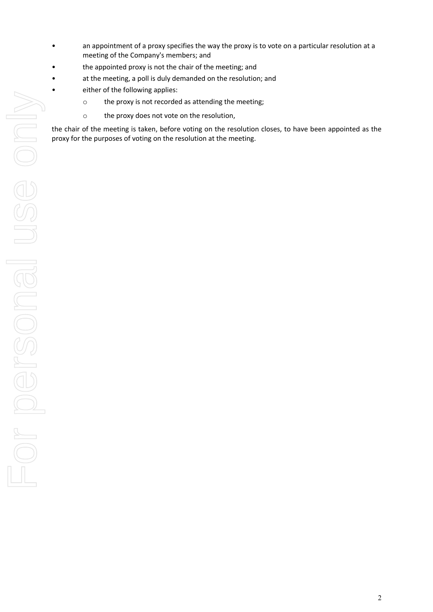- an appointment of a proxy specifies the way the proxy is to vote on a particular resolution at a meeting of the Company's members; and
- the appointed proxy is not the chair of the meeting; and
- at the meeting, a poll is duly demanded on the resolution; and
	- either of the following applies:
		- o the proxy is not recorded as attending the meeting;
		- o the proxy does not vote on the resolution,

the chair of the meeting is taken, before voting on the resolution closes, to have been appointed as the proxy for the purposes of voting on the resolution at the meeting.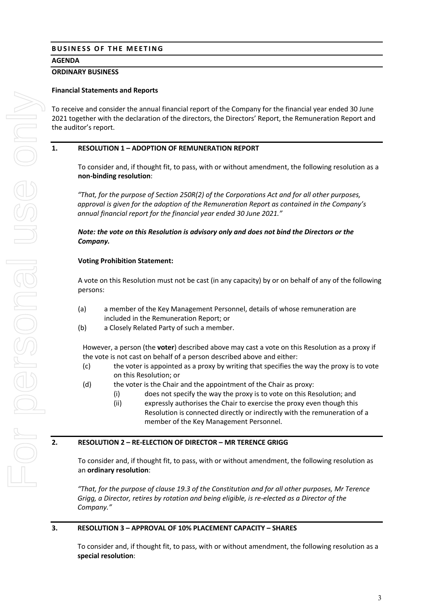# **BUSINESS OF THE MEETING**

# **AGENDA**

### **ORDINARY BUSINESS**

## **Financial Statements and Reports**

To receive and consider the annual financial report of the Company for the financial year ended 30 June 2021 together with the declaration of the directors, the Directors' Report, the Remuneration Report and the auditor's report.

## **1. RESOLUTION 1 – ADOPTION OF REMUNERATION REPORT**

To consider and, if thought fit, to pass, with or without amendment, the following resolution as a **non-binding resolution**:

*"That, for the purpose of Section 250R(2) of the Corporations Act and for all other purposes, approval is given for the adoption of the Remuneration Report as contained in the Company's annual financial report for the financial year ended 30 June 2021."*

## *Note: the vote on this Resolution is advisory only and does not bind the Directors or the Company.*

### **Voting Prohibition Statement:**

A vote on this Resolution must not be cast (in any capacity) by or on behalf of any of the following persons:

- (a) a member of the Key Management Personnel, details of whose remuneration are included in the Remuneration Report; or
- (b) a Closely Related Party of such a member.

However, a person (the **voter**) described above may cast a vote on this Resolution as a proxy if the vote is not cast on behalf of a person described above and either:

- (c) the voter is appointed as a proxy by writing that specifies the way the proxy is to vote on this Resolution; or
- (d) the voter is the Chair and the appointment of the Chair as proxy:
	- (i) does not specify the way the proxy is to vote on this Resolution; and
	- (ii) expressly authorises the Chair to exercise the proxy even though this Resolution is connected directly or indirectly with the remuneration of a member of the Key Management Personnel.

#### **2. RESOLUTION 2 – RE-ELECTION OF DIRECTOR – MR TERENCE GRIGG**

To consider and, if thought fit, to pass, with or without amendment, the following resolution as an **ordinary resolution**:

*"That, for the purpose of clause 19.3 of the Constitution and for all other purposes, Mr Terence Grigg, a Director, retires by rotation and being eligible, is re-elected as a Director of the Company."*

## **3. RESOLUTION 3 – APPROVAL OF 10% PLACEMENT CAPACITY – SHARES**

To consider and, if thought fit, to pass, with or without amendment, the following resolution as a **special resolution**: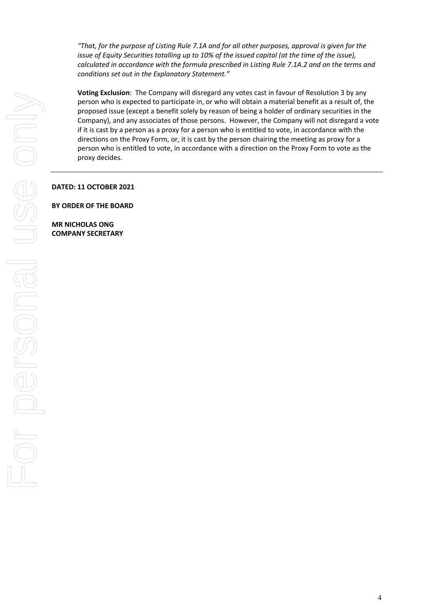*"That, for the purpose of Listing Rule 7.1A and for all other purposes, approval is given for the issue of Equity Securities totalling up to 10% of the issued capital (at the time of the issue), calculated in accordance with the formula prescribed in Listing Rule 7.1A.2 and on the terms and conditions set out in the Explanatory Statement."*

**Voting Exclusion**: The Company will disregard any votes cast in favour of Resolution 3 by any person who is expected to participate in, or who will obtain a material benefit as a result of, the proposed issue (except a benefit solely by reason of being a holder of ordinary securities in the Company), and any associates of those persons. However, the Company will not disregard a vote if it is cast by a person as a proxy for a person who is entitled to vote, in accordance with the directions on the Proxy Form, or, it is cast by the person chairing the meeting as proxy for a person who is entitled to vote, in accordance with a direction on the Proxy Form to vote as the proxy decides.

**DATED: 11 OCTOBER 2021**

**BY ORDER OF THE BOARD**

**MR NICHOLAS ONG COMPANY SECRETARY**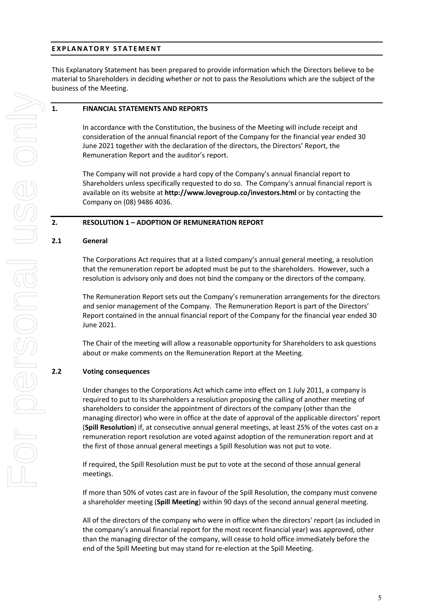# **EXPLANATORY STATEMENT**

This Explanatory Statement has been prepared to provide information which the Directors believe to be material to Shareholders in deciding whether or not to pass the Resolutions which are the subject of the business of the Meeting.

### **1. FINANCIAL STATEMENTS AND REPORTS**

In accordance with the Constitution, the business of the Meeting will include receipt and consideration of the annual financial report of the Company for the financial year ended 30 June 2021 together with the declaration of the directors, the Directors' Report, the Remuneration Report and the auditor's report.

The Company will not provide a hard copy of the Company's annual financial report to Shareholders unless specifically requested to do so. The Company's annual financial report is available on its website at **http://www.lovegroup.co/investors.html** or by contacting the Company on (08) 9486 4036.

### **2. RESOLUTION 1 – ADOPTION OF REMUNERATION REPORT**

#### **2.1 General**

The Corporations Act requires that at a listed company's annual general meeting, a resolution that the remuneration report be adopted must be put to the shareholders. However, such a resolution is advisory only and does not bind the company or the directors of the company.

The Remuneration Report sets out the Company's remuneration arrangements for the directors and senior management of the Company. The Remuneration Report is part of the Directors' Report contained in the annual financial report of the Company for the financial year ended 30 June 2021.

The Chair of the meeting will allow a reasonable opportunity for Shareholders to ask questions about or make comments on the Remuneration Report at the Meeting.

## **2.2 Voting consequences**

Under changes to the Corporations Act which came into effect on 1 July 2011, a company is required to put to its shareholders a resolution proposing the calling of another meeting of shareholders to consider the appointment of directors of the company (other than the managing director) who were in office at the date of approval of the applicable directors' report (**Spill Resolution**) if, at consecutive annual general meetings, at least 25% of the votes cast on a remuneration report resolution are voted against adoption of the remuneration report and at the first of those annual general meetings a Spill Resolution was not put to vote.

If required, the Spill Resolution must be put to vote at the second of those annual general meetings.

If more than 50% of votes cast are in favour of the Spill Resolution, the company must convene a shareholder meeting (**Spill Meeting**) within 90 days of the second annual general meeting.

All of the directors of the company who were in office when the directors' report (as included in the company's annual financial report for the most recent financial year) was approved, other than the managing director of the company, will cease to hold office immediately before the end of the Spill Meeting but may stand for re-election at the Spill Meeting.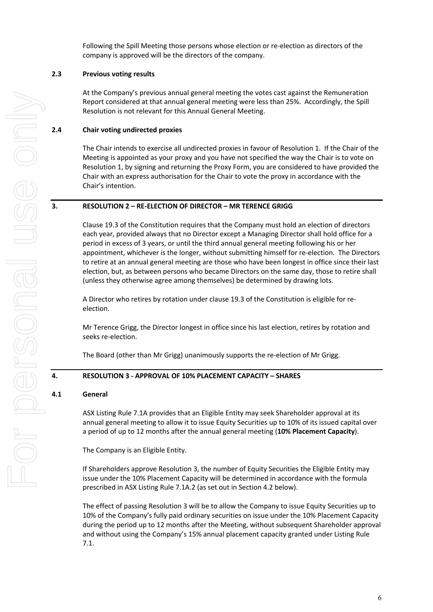Following the Spill Meeting those persons whose election or re-election as directors of the company is approved will be the directors of the company.

## **2.3 Previous voting results**

At the Company's previous annual general meeting the votes cast against the Remuneration Report considered at that annual general meeting were less than 25%. Accordingly, the Spill Resolution is not relevant for this Annual General Meeting.

#### **2.4 Chair voting undirected proxies**

The Chair intends to exercise all undirected proxies in favour of Resolution 1. If the Chair of the Meeting is appointed as your proxy and you have not specified the way the Chair is to vote on Resolution 1, by signing and returning the Proxy Form, you are considered to have provided the Chair with an express authorisation for the Chair to vote the proxy in accordance with the Chair's intention.

#### **3. RESOLUTION 2 – RE-ELECTION OF DIRECTOR – MR TERENCE GRIGG**

Clause 19.3 of the Constitution requires that the Company must hold an election of directors each year, provided always that no Director except a Managing Director shall hold office for a period in excess of 3 years, or until the third annual general meeting following his or her appointment, whichever is the longer, without submitting himself for re-election. The Directors to retire at an annual general meeting are those who have been longest in office since their last election, but, as between persons who became Directors on the same day, those to retire shall (unless they otherwise agree among themselves) be determined by drawing lots.

A Director who retires by rotation under clause 19.3 of the Constitution is eligible for reelection.

Mr Terence Grigg, the Director longest in office since his last election, retires by rotation and seeks re-election.

The Board (other than Mr Grigg) unanimously supports the re-election of Mr Grigg.

## **4. RESOLUTION 3 - APPROVAL OF 10% PLACEMENT CAPACITY – SHARES**

#### **4.1 General**

ASX Listing Rule 7.1A provides that an Eligible Entity may seek Shareholder approval at its annual general meeting to allow it to issue Equity Securities up to 10% of its issued capital over a period of up to 12 months after the annual general meeting (**10% Placement Capacity**).

The Company is an Eligible Entity.

If Shareholders approve Resolution 3, the number of Equity Securities the Eligible Entity may issue under the 10% Placement Capacity will be determined in accordance with the formula prescribed in ASX Listing Rule 7.1A.2 (as set out in Section 4.2 below).

The effect of passing Resolution 3 will be to allow the Company to issue Equity Securities up to 10% of the Company's fully paid ordinary securities on issue under the 10% Placement Capacity during the period up to 12 months after the Meeting, without subsequent Shareholder approval and without using the Company's 15% annual placement capacity granted under Listing Rule 7.1.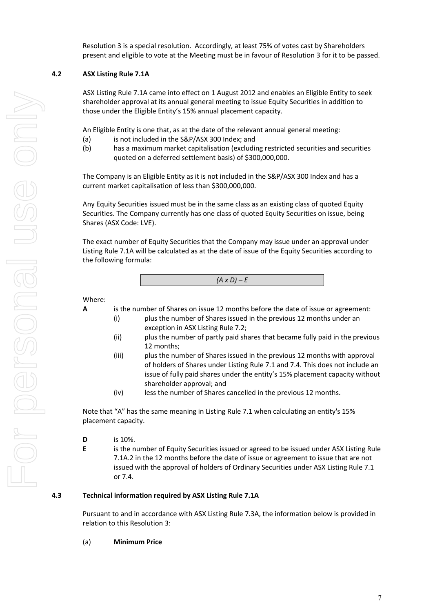Resolution 3 is a special resolution. Accordingly, at least 75% of votes cast by Shareholders present and eligible to vote at the Meeting must be in favour of Resolution 3 for it to be passed.

# **4.2 ASX Listing Rule 7.1A**

ASX Listing Rule 7.1A came into effect on 1 August 2012 and enables an Eligible Entity to seek shareholder approval at its annual general meeting to issue Equity Securities in addition to those under the Eligible Entity's 15% annual placement capacity.

An Eligible Entity is one that, as at the date of the relevant annual general meeting:

- (a) is not included in the S&P/ASX 300 Index; and
- (b) has a maximum market capitalisation (excluding restricted securities and securities quoted on a deferred settlement basis) of \$300,000,000.

The Company is an Eligible Entity as it is not included in the S&P/ASX 300 Index and has a current market capitalisation of less than \$300,000,000.

Any Equity Securities issued must be in the same class as an existing class of quoted Equity Securities. The Company currently has one class of quoted Equity Securities on issue, being Shares (ASX Code: LVE).

The exact number of Equity Securities that the Company may issue under an approval under Listing Rule 7.1A will be calculated as at the date of issue of the Equity Securities according to the following formula:

*(A x D) – E*

Where:

- **A** is the number of Shares on issue 12 months before the date of issue or agreement:
	- (i) plus the number of Shares issued in the previous 12 months under an exception in ASX Listing Rule 7.2;
	- (ii) plus the number of partly paid shares that became fully paid in the previous 12 months;
	- (iii) plus the number of Shares issued in the previous 12 months with approval of holders of Shares under Listing Rule 7.1 and 7.4. This does not include an issue of fully paid shares under the entity's 15% placement capacity without shareholder approval; and
	- (iv) less the number of Shares cancelled in the previous 12 months.

Note that "A" has the same meaning in Listing Rule 7.1 when calculating an entity's 15% placement capacity.

- **D** is 10%.
- **E** is the number of Equity Securities issued or agreed to be issued under ASX Listing Rule 7.1A.2 in the 12 months before the date of issue or agreement to issue that are not issued with the approval of holders of Ordinary Securities under ASX Listing Rule 7.1 or 7.4.

## **4.3 Technical information required by ASX Listing Rule 7.1A**

Pursuant to and in accordance with ASX Listing Rule 7.3A, the information below is provided in relation to this Resolution 3:

#### (a) **Minimum Price**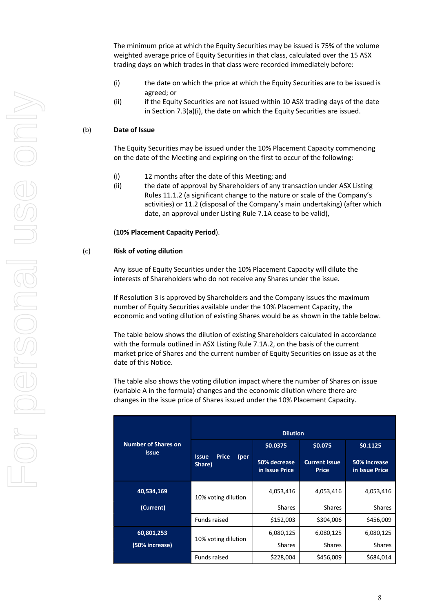The minimum price at which the Equity Securities may be issued is 75% of the volume weighted average price of Equity Securities in that class, calculated over the 15 ASX trading days on which trades in that class were recorded immediately before:

- (i) the date on which the price at which the Equity Securities are to be issued is agreed; or
- (ii) if the Equity Securities are not issued within 10 ASX trading days of the date in Section 7.3(a)(i), the date on which the Equity Securities are issued.

### (b) **Date of Issue**

The Equity Securities may be issued under the 10% Placement Capacity commencing on the date of the Meeting and expiring on the first to occur of the following:

- (i) 12 months after the date of this Meeting; and
- (ii) the date of approval by Shareholders of any transaction under ASX Listing Rules 11.1.2 (a significant change to the nature or scale of the Company's activities) or 11.2 (disposal of the Company's main undertaking) (after which date, an approval under Listing Rule 7.1A cease to be valid),

(**10% Placement Capacity Period**).

#### (c) **Risk of voting dilution**

Any issue of Equity Securities under the 10% Placement Capacity will dilute the interests of Shareholders who do not receive any Shares under the issue.

If Resolution 3 is approved by Shareholders and the Company issues the maximum number of Equity Securities available under the 10% Placement Capacity, the economic and voting dilution of existing Shares would be as shown in the table below.

The table below shows the dilution of existing Shareholders calculated in accordance with the formula outlined in ASX Listing Rule 7.1A.2, on the basis of the current market price of Shares and the current number of Equity Securities on issue as at the date of this Notice.

The table also shows the voting dilution impact where the number of Shares on issue (variable A in the formula) changes and the economic dilution where there are changes in the issue price of Shares issued under the 10% Placement Capacity.

|                                            | <b>Dilution</b>                                |                                            |                                                 |                                            |  |
|--------------------------------------------|------------------------------------------------|--------------------------------------------|-------------------------------------------------|--------------------------------------------|--|
| <b>Number of Shares on</b><br><b>Issue</b> | <b>Price</b><br>(per<br><b>Issue</b><br>Share) | \$0.0375<br>50% decrease<br>in Issue Price | \$0.075<br><b>Current Issue</b><br><b>Price</b> | \$0.1125<br>50% increase<br>in Issue Price |  |
| 40,534,169                                 | 10% voting dilution                            | 4,053,416                                  | 4,053,416                                       | 4,053,416                                  |  |
| (Current)                                  |                                                | <b>Shares</b>                              | <b>Shares</b>                                   | <b>Shares</b>                              |  |
|                                            | <b>Funds raised</b>                            | \$152,003                                  | \$304,006                                       | \$456,009                                  |  |
| 60,801,253                                 |                                                | 6,080,125                                  | 6,080,125                                       | 6,080,125                                  |  |
| (50% increase)                             | 10% voting dilution                            | <b>Shares</b>                              | <b>Shares</b>                                   | <b>Shares</b>                              |  |
|                                            | <b>Funds raised</b>                            | \$228,004                                  | \$456,009                                       | \$684,014                                  |  |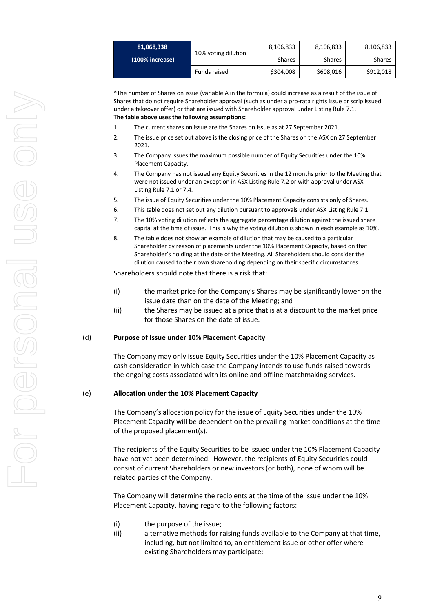| 81,068,338      | 10% voting dilution | 8,106,833     | 8,106,833     | 8,106,833     |
|-----------------|---------------------|---------------|---------------|---------------|
| (100% increase) |                     | <b>Shares</b> | <b>Shares</b> | <b>Shares</b> |
|                 | Funds raised        | \$304,008     | \$608,016     | \$912,018     |

**\***The number of Shares on issue (variable A in the formula) could increase as a result of the issue of Shares that do not require Shareholder approval (such as under a pro-rata rights issue or scrip issued under a takeover offer) or that are issued with Shareholder approval under Listing Rule 7.1. **The table above uses the following assumptions:**

- 1. The current shares on issue are the Shares on issue as at 27 September 2021.
- 2. The issue price set out above is the closing price of the Shares on the ASX on 27 September 2021.
- 3. The Company issues the maximum possible number of Equity Securities under the 10% Placement Capacity.
- 4. The Company has not issued any Equity Securities in the 12 months prior to the Meeting that were not issued under an exception in ASX Listing Rule 7.2 or with approval under ASX Listing Rule 7.1 or 7.4.
- 5. The issue of Equity Securities under the 10% Placement Capacity consists only of Shares.
- 6. This table does not set out any dilution pursuant to approvals under ASX Listing Rule 7.1.
- 7. The 10% voting dilution reflects the aggregate percentage dilution against the issued share capital at the time of issue. This is why the voting dilution is shown in each example as 10%.
- 8. The table does not show an example of dilution that may be caused to a particular Shareholder by reason of placements under the 10% Placement Capacity, based on that Shareholder's holding at the date of the Meeting. All Shareholders should consider the dilution caused to their own shareholding depending on their specific circumstances.

Shareholders should note that there is a risk that:

- (i) the market price for the Company's Shares may be significantly lower on the issue date than on the date of the Meeting; and
- (ii) the Shares may be issued at a price that is at a discount to the market price for those Shares on the date of issue.

#### (d) **Purpose of Issue under 10% Placement Capacity**

The Company may only issue Equity Securities under the 10% Placement Capacity as cash consideration in which case the Company intends to use funds raised towards the ongoing costs associated with its online and offline matchmaking services.

#### (e) **Allocation under the 10% Placement Capacity**

The Company's allocation policy for the issue of Equity Securities under the 10% Placement Capacity will be dependent on the prevailing market conditions at the time of the proposed placement(s).

The recipients of the Equity Securities to be issued under the 10% Placement Capacity have not yet been determined. However, the recipients of Equity Securities could consist of current Shareholders or new investors (or both), none of whom will be related parties of the Company.

The Company will determine the recipients at the time of the issue under the 10% Placement Capacity, having regard to the following factors:

- (i) the purpose of the issue;
- (ii) alternative methods for raising funds available to the Company at that time, including, but not limited to, an entitlement issue or other offer where existing Shareholders may participate;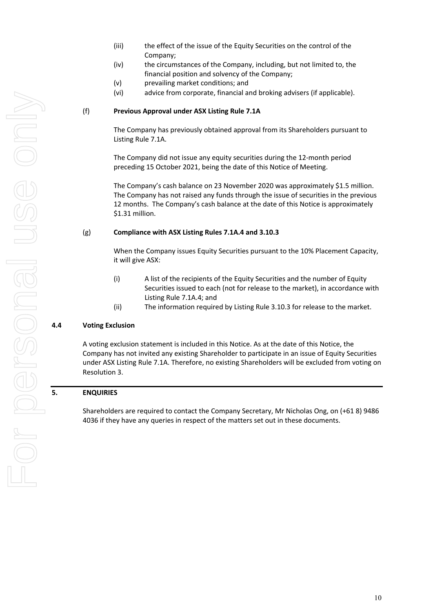For personal use only **For personal use onli** 

- (iii) the effect of the issue of the Equity Securities on the control of the Company;
- (iv) the circumstances of the Company, including, but not limited to, the financial position and solvency of the Company;
- (v) prevailing market conditions; and
- (vi) advice from corporate, financial and broking advisers (if applicable).

## (f) **Previous Approval under ASX Listing Rule 7.1A**

The Company has previously obtained approval from its Shareholders pursuant to Listing Rule 7.1A.

The Company did not issue any equity securities during the 12-month period preceding 15 October 2021, being the date of this Notice of Meeting.

The Company's cash balance on 23 November 2020 was approximately \$1.5 million. The Company has not raised any funds through the issue of securities in the previous 12 months. The Company's cash balance at the date of this Notice is approximately \$1.31 million.

#### (g) **Compliance with ASX Listing Rules 7.1A.4 and 3.10.3**

When the Company issues Equity Securities pursuant to the 10% Placement Capacity, it will give ASX:

- (i) A list of the recipients of the Equity Securities and the number of Equity Securities issued to each (not for release to the market), in accordance with Listing Rule 7.1A.4; and
- (ii) The information required by Listing Rule 3.10.3 for release to the market.

#### **4.4 Voting Exclusion**

A voting exclusion statement is included in this Notice. As at the date of this Notice, the Company has not invited any existing Shareholder to participate in an issue of Equity Securities under ASX Listing Rule 7.1A. Therefore, no existing Shareholders will be excluded from voting on Resolution 3.

#### **5. ENQUIRIES**

Shareholders are required to contact the Company Secretary, Mr Nicholas Ong, on (+61 8) 9486 4036 if they have any queries in respect of the matters set out in these documents.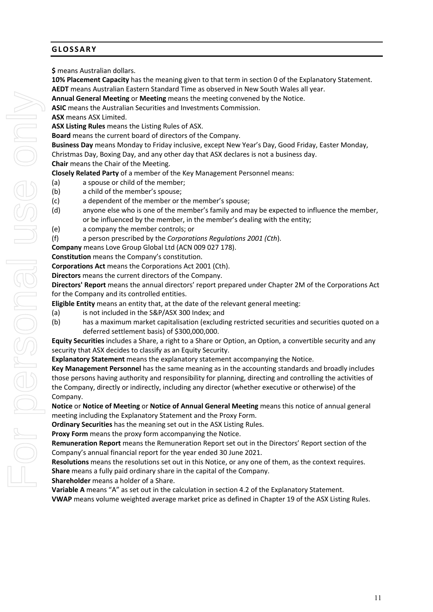# **GLOSSARY**

**\$** means Australian dollars.

**10% Placement Capacity** has the meaning given to that term in section 0 of the Explanatory Statement. **AEDT** means Australian Eastern Standard Time as observed in New South Wales all year.

**Annual General Meeting** or **Meeting** means the meeting convened by the Notice.

**ASIC** means the Australian Securities and Investments Commission.

**ASX** means ASX Limited.

**ASX Listing Rules** means the Listing Rules of ASX.

**Board** means the current board of directors of the Company.

**Business Day** means Monday to Friday inclusive, except New Year's Day, Good Friday, Easter Monday, Christmas Day, Boxing Day, and any other day that ASX declares is not a business day.

**Chair** means the Chair of the Meeting.

**Closely Related Party** of a member of the Key Management Personnel means:

- (a) a spouse or child of the member;
- (b) a child of the member's spouse;
- (c) a dependent of the member or the member's spouse;
- (d) anyone else who is one of the member's family and may be expected to influence the member, or be influenced by the member, in the member's dealing with the entity;
- (e) a company the member controls; or
- (f) a person prescribed by the *Corporations Regulations 2001 (Cth*).

**Company** means Love Group Global Ltd (ACN 009 027 178).

**Constitution** means the Company's constitution.

**Corporations Act** means the Corporations Act 2001 (Cth).

**Directors** means the current directors of the Company.

**Directors' Report** means the annual directors' report prepared under Chapter 2M of the Corporations Act for the Company and its controlled entities.

**Eligible Entity** means an entity that, at the date of the relevant general meeting:

- (a) is not included in the S&P/ASX 300 Index; and
- (b) has a maximum market capitalisation (excluding restricted securities and securities quoted on a deferred settlement basis) of \$300,000,000.

**Equity Securities** includes a Share, a right to a Share or Option, an Option, a convertible security and any security that ASX decides to classify as an Equity Security.

**Explanatory Statement** means the explanatory statement accompanying the Notice.

**Key Management Personnel** has the same meaning as in the accounting standards and broadly includes those persons having authority and responsibility for planning, directing and controlling the activities of the Company, directly or indirectly, including any director (whether executive or otherwise) of the Company.

**Notice** or **Notice of Meeting** or **Notice of Annual General Meeting** means this notice of annual general meeting including the Explanatory Statement and the Proxy Form.

**Ordinary Securities** has the meaning set out in the ASX Listing Rules.

**Proxy Form** means the proxy form accompanying the Notice.

**Remuneration Report** means the Remuneration Report set out in the Directors' Report section of the Company's annual financial report for the year ended 30 June 2021.

**Resolutions** means the resolutions set out in this Notice, or any one of them, as the context requires. **Share** means a fully paid ordinary share in the capital of the Company.

**Shareholder** means a holder of a Share.

**Variable A** means "A" as set out in the calculation in section 4.2 of the Explanatory Statement. **VWAP** means volume weighted average market price as defined in Chapter 19 of the ASX Listing Rules.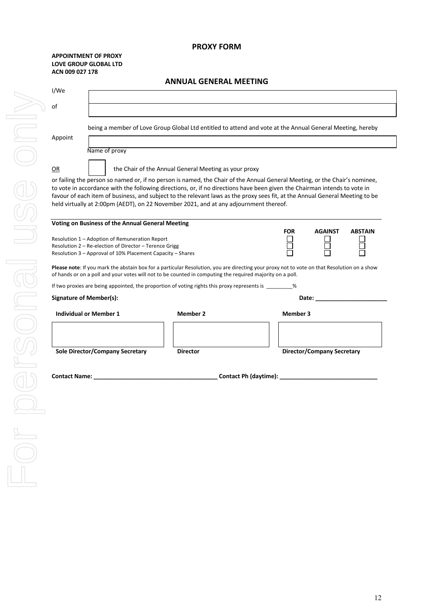## **PROXY FORM**

#### **APPOINTMENT OF PROXY LOVE GROUP GLOBAL LTD ACN 009 027 178**

|                                                                                                                                                                         | <b>ANNUAL GENERAL MEETING</b>                         |                                                                                                                                                                                                                                                                                                                                                                                         |
|-------------------------------------------------------------------------------------------------------------------------------------------------------------------------|-------------------------------------------------------|-----------------------------------------------------------------------------------------------------------------------------------------------------------------------------------------------------------------------------------------------------------------------------------------------------------------------------------------------------------------------------------------|
| I/We                                                                                                                                                                    |                                                       |                                                                                                                                                                                                                                                                                                                                                                                         |
| of                                                                                                                                                                      |                                                       |                                                                                                                                                                                                                                                                                                                                                                                         |
| Appoint                                                                                                                                                                 |                                                       | being a member of Love Group Global Ltd entitled to attend and vote at the Annual General Meeting, hereby                                                                                                                                                                                                                                                                               |
| Name of proxy<br>0R                                                                                                                                                     | the Chair of the Annual General Meeting as your proxy |                                                                                                                                                                                                                                                                                                                                                                                         |
| held virtually at 2:00pm (AEDT), on 22 November 2021, and at any adjournment thereof.                                                                                   |                                                       | or failing the person so named or, if no person is named, the Chair of the Annual General Meeting, or the Chair's nominee,<br>to vote in accordance with the following directions, or, if no directions have been given the Chairman intends to vote in<br>favour of each item of business, and subject to the relevant laws as the proxy sees fit, at the Annual General Meeting to be |
| Voting on Business of the Annual General Meeting<br>Resolution 1 – Adoption of Remuneration Report<br>Resolution 2 – Re-election of Director – Terence Grigg            |                                                       | <b>FOR</b><br><b>AGAINST</b><br><b>ABSTAIN</b>                                                                                                                                                                                                                                                                                                                                          |
| Resolution 3 – Approval of 10% Placement Capacity – Shares<br>of hands or on a poll and your votes will not to be counted in computing the required majority on a poll. |                                                       | Please note: If you mark the abstain box for a particular Resolution, you are directing your proxy not to vote on that Resolution on a show                                                                                                                                                                                                                                             |
| If two proxies are being appointed, the proportion of voting rights this proxy represents is 2%                                                                         |                                                       |                                                                                                                                                                                                                                                                                                                                                                                         |
| <b>Signature of Member(s):</b>                                                                                                                                          |                                                       | Date: the contract of the contract of the contract of the contract of the contract of the contract of the contract of the contract of the contract of the contract of the contract of the contract of the contract of the cont                                                                                                                                                          |
| <b>Individual or Member 1</b>                                                                                                                                           | <b>Member 2</b>                                       | <b>Member 3</b>                                                                                                                                                                                                                                                                                                                                                                         |
|                                                                                                                                                                         |                                                       |                                                                                                                                                                                                                                                                                                                                                                                         |
| <b>Sole Director/Company Secretary</b>                                                                                                                                  | <b>Director</b>                                       | <b>Director/Company Secretary</b>                                                                                                                                                                                                                                                                                                                                                       |
|                                                                                                                                                                         |                                                       |                                                                                                                                                                                                                                                                                                                                                                                         |